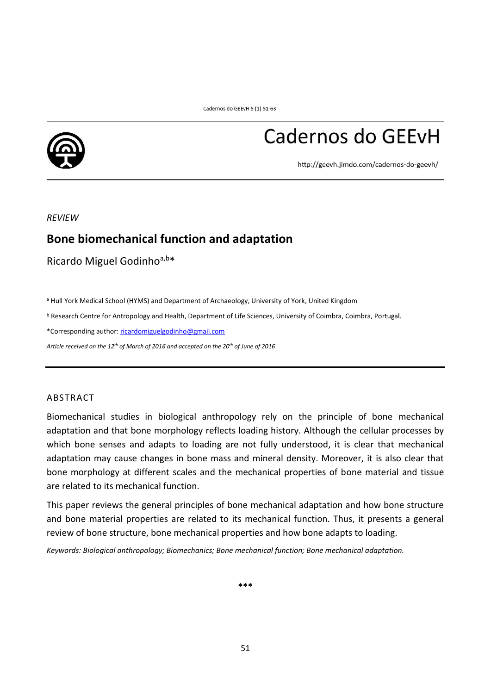

# Cadernos do GEEvH

http://geevh.jimdo.com/cadernos-do-geevh/

*REVIEW*

# **Bone biomechanical function and adaptation**

Ricardo Miguel Godinhoa,b\*

a Hull York Medical School (HYMS) and Department of Archaeology, University of York, United Kingdom

<sup>b</sup> Research Centre for Antropology and Health, Department of Life Sciences, University of Coimbra, Coimbra, Portugal.

\*Corresponding author: [ricardomiguelgodinho@gmail.com](mailto:ricardomiguelgodinho@gmail.com)

*Article received on the 12 th of March of 2016 and accepted on the 20th of June of 2016*

#### ABSTRACT

Biomechanical studies in biological anthropology rely on the principle of bone mechanical adaptation and that bone morphology reflects loading history. Although the cellular processes by which bone senses and adapts to loading are not fully understood, it is clear that mechanical adaptation may cause changes in bone mass and mineral density. Moreover, it is also clear that bone morphology at different scales and the mechanical properties of bone material and tissue are related to its mechanical function.

This paper reviews the general principles of bone mechanical adaptation and how bone structure and bone material properties are related to its mechanical function. Thus, it presents a general review of bone structure, bone mechanical properties and how bone adapts to loading.

*Keywords: Biological anthropology; Biomechanics; Bone mechanical function; Bone mechanical adaptation.*

**\*\*\***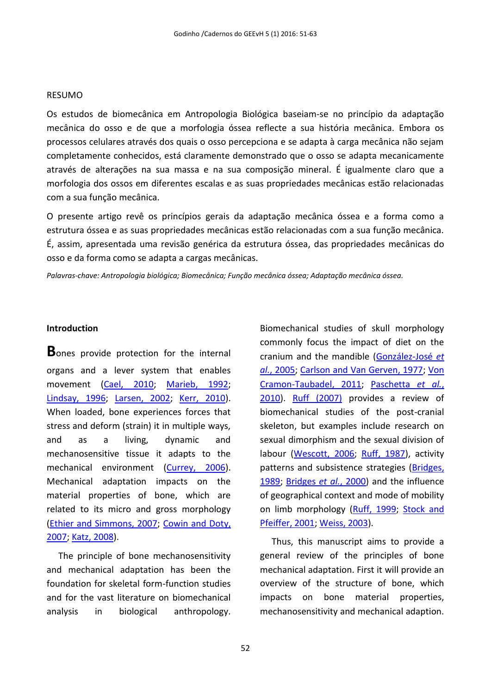# RESUMO

Os estudos de biomecânica em Antropologia Biológica baseiam-se no princípio da adaptação mecânica do osso e de que a morfologia óssea reflecte a sua história mecânica. Embora os processos celulares através dos quais o osso percepciona e se adapta à carga mecânica não sejam completamente conhecidos, está claramente demonstrado que o osso se adapta mecanicamente através de alterações na sua massa e na sua composição mineral. É igualmente claro que a morfologia dos ossos em diferentes escalas e as suas propriedades mecânicas estão relacionadas com a sua função mecânica.

O presente artigo revê os princípios gerais da adaptação mecânica óssea e a forma como a estrutura óssea e as suas propriedades mecânicas estão relacionadas com a sua função mecânica. É, assim, apresentada uma revisão genérica da estrutura óssea, das propriedades mecânicas do osso e da forma como se adapta a cargas mecânicas.

*Palavras-chave: Antropologia biológica; Biomecânica; Função mecânica óssea; Adaptação mecânica óssea.*

# **Introduction**

**B**ones provide protection for the internal organs and a lever system that enables movement [\(Cael, 2010;](#page-10-0) [Marieb, 1992;](#page-11-0) [Lindsay, 1996;](#page-11-1) [Larsen, 2002;](#page-11-2) [Kerr, 2010\)](#page-11-3). When loaded, bone experiences forces that stress and deform (strain) it in multiple ways, and as a living, dynamic and mechanosensitive tissue it adapts to the mechanical environment [\(Currey, 2006\)](#page-10-1). Mechanical adaptation impacts on the material properties of bone, which are related to its micro and gross morphology [\(Ethier and Simmons, 2007;](#page-10-2) [Cowin and Doty,](#page-10-3)  [2007;](#page-10-3) [Katz, 2008\)](#page-11-4).

The principle of bone mechanosensitivity and mechanical adaptation has been the foundation for skeletal form-function studies and for the vast literature on biomechanical analysis in biological anthropology.

Biomechanical studies of skull morphology commonly focus the impact of diet on the cranium and the mandible [\(González-José](#page-10-4) *et al.*[, 2005;](#page-10-4) [Carlson and Van Gerven, 1977;](#page-10-5) [Von](#page-12-0)  [Cramon-Taubadel, 2011;](#page-12-0) [Paschetta](#page-11-5) *et al.*, [2010\)](#page-11-5). [Ruff \(2007\)](#page-12-1) provides a review of biomechanical studies of the post-cranial skeleton, but examples include research on sexual dimorphism and the sexual division of labour [\(Wescott, 2006;](#page-12-2) [Ruff, 1987\)](#page-11-6), activity patterns and subsistence strategies (Bridges, [1989;](#page-10-6) [Bridges](#page-10-7) *et al.*, 2000) and the influence of geographical context and mode of mobility on limb morphology [\(Ruff, 1999;](#page-12-3) [Stock and](#page-12-4)  [Pfeiffer, 2001;](#page-12-4) [Weiss, 2003\)](#page-12-5).

Thus, this manuscript aims to provide a general review of the principles of bone mechanical adaptation. First it will provide an overview of the structure of bone, which impacts on bone material properties, mechanosensitivity and mechanical adaption.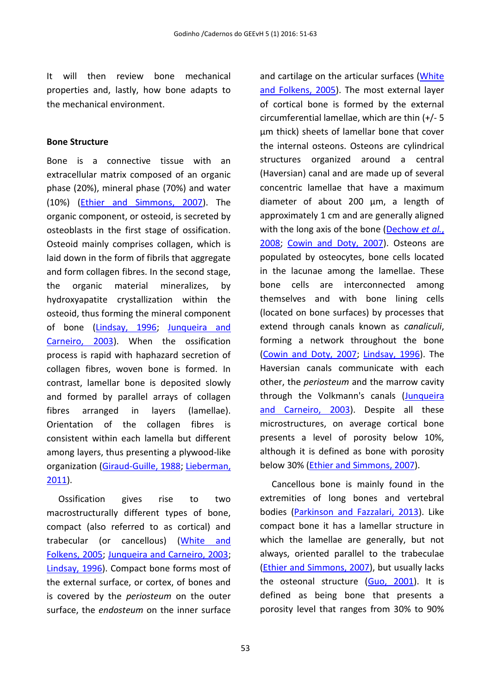It will then review bone mechanical properties and, lastly, how bone adapts to the mechanical environment.

# **Bone Structure**

Bone is a connective tissue with an extracellular matrix composed of an organic phase (20%), mineral phase (70%) and water (10%) [\(Ethier and Simmons, 2007\)](#page-10-2). The organic component, or osteoid, is secreted by osteoblasts in the first stage of ossification. Osteoid mainly comprises collagen, which is laid down in the form of fibrils that aggregate and form collagen fibres. In the second stage, the organic material mineralizes, by hydroxyapatite crystallization within the osteoid, thus forming the mineral component of bone [\(Lindsay, 1996;](#page-11-1) [Junqueira and](#page-10-8)  [Carneiro, 2003\)](#page-10-8). When the ossification process is rapid with haphazard secretion of collagen fibres, woven bone is formed. In contrast, lamellar bone is deposited slowly and formed by parallel arrays of collagen fibres arranged in layers (lamellae). Orientation of the collagen fibres is consistent within each lamella but different among layers, thus presenting a plywood-like organization [\(Giraud-Guille, 1988;](#page-10-9) [Lieberman,](#page-11-7)  [2011\)](#page-11-7).

Ossification gives rise to two macrostructurally different types of bone, compact (also referred to as cortical) and trabecular (or cancellous) [\(White and](#page-12-6)  [Folkens, 2005;](#page-12-6) [Junqueira and Carneiro, 2003;](#page-10-8) [Lindsay, 1996\)](#page-11-1). Compact bone forms most of the external surface, or cortex, of bones and is covered by the *periosteum* on the outer surface, the *endosteum* on the inner surface and cartilage on the articular surfaces (White [and Folkens, 2005\)](#page-12-6). The most external layer of cortical bone is formed by the external circumferential lamellae, which are thin (+/- 5 µm thick) sheets of lamellar bone that cover the internal osteons. Osteons are cylindrical structures organized around a central (Haversian) canal and are made up of several concentric lamellae that have a maximum diameter of about 200 µm, a length of approximately 1 cm and are generally aligned with the long axis of the bone [\(Dechow](#page-10-10) *et al.*, [2008;](#page-10-10) [Cowin and Doty, 2007\)](#page-10-3). Osteons are populated by osteocytes, bone cells located in the lacunae among the lamellae. These bone cells are interconnected among themselves and with bone lining cells (located on bone surfaces) by processes that extend through canals known as *canaliculi*, forming a network throughout the bone [\(Cowin and Doty, 2007;](#page-10-3) [Lindsay, 1996\)](#page-11-1). The Haversian canals communicate with each other, the *periosteum* and the marrow cavity through the Volkmann's canals (Junqueira [and Carneiro, 2003\)](#page-10-8). Despite all these microstructures, on average cortical bone presents a level of porosity below 10%, although it is defined as bone with porosity below 30% [\(Ethier and Simmons, 2007\)](#page-10-2).

Cancellous bone is mainly found in the extremities of long bones and vertebral bodies [\(Parkinson and Fazzalari, 2013\)](#page-11-8). Like compact bone it has a lamellar structure in which the lamellae are generally, but not always, oriented parallel to the trabeculae [\(Ethier and Simmons, 2007\)](#page-10-2), but usually lacks the osteonal structure [\(Guo, 2001\)](#page-10-11). It is defined as being bone that presents a porosity level that ranges from 30% to 90%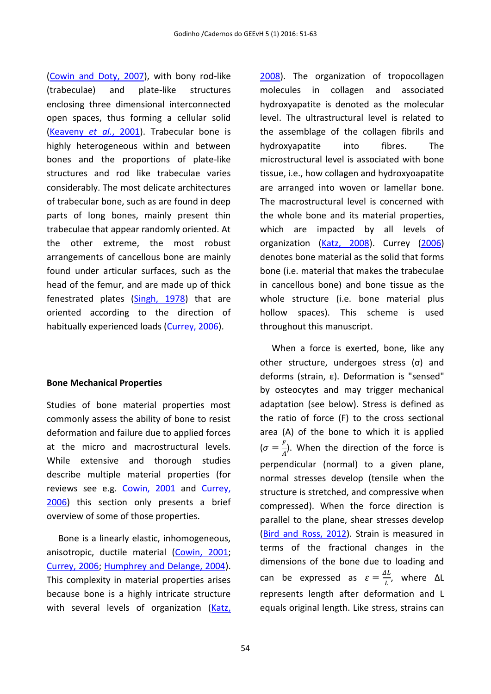[\(Cowin and Doty, 2007\)](#page-10-3), with bony rod-like (trabeculae) and plate-like structures enclosing three dimensional interconnected open spaces, thus forming a cellular solid [\(Keaveny](#page-11-9) *et al.*, 2001). Trabecular bone is highly heterogeneous within and between bones and the proportions of plate-like structures and rod like trabeculae varies considerably. The most delicate architectures of trabecular bone, such as are found in deep parts of long bones, mainly present thin trabeculae that appear randomly oriented. At the other extreme, the most robust arrangements of cancellous bone are mainly found under articular surfaces, such as the head of the femur, and are made up of thick fenestrated plates [\(Singh, 1978\)](#page-12-7) that are oriented according to the direction of habitually experienced loads [\(Currey, 2006\)](#page-10-1).

#### **Bone Mechanical Properties**

Studies of bone material properties most commonly assess the ability of bone to resist deformation and failure due to applied forces at the micro and macrostructural levels. While extensive and thorough studies describe multiple material properties (for reviews see e.g. [Cowin, 2001](#page-10-12) and [Currey,](#page-10-1)  [2006\)](#page-10-1) this section only presents a brief overview of some of those properties.

Bone is a linearly elastic, inhomogeneous, anisotropic, ductile material [\(Cowin, 2001;](#page-10-12) [Currey, 2006;](#page-10-1) [Humphrey and Delange, 2004\)](#page-10-13). This complexity in material properties arises because bone is a highly intricate structure with several levels of organization (Katz, [2008\)](#page-11-4). The organization of tropocollagen molecules in collagen and associated hydroxyapatite is denoted as the molecular level. The ultrastructural level is related to the assemblage of the collagen fibrils and hydroxyapatite into fibres. The microstructural level is associated with bone tissue, i.e., how collagen and hydroxyoapatite are arranged into woven or lamellar bone. The macrostructural level is concerned with the whole bone and its material properties, which are impacted by all levels of organization [\(Katz, 2008\)](#page-11-4). Currey [\(2006\)](#page-10-1) denotes bone material as the solid that forms bone (i.e. material that makes the trabeculae in cancellous bone) and bone tissue as the whole structure (i.e. bone material plus hollow spaces). This scheme is used throughout this manuscript.

When a force is exerted, bone, like any other structure, undergoes stress (σ) and deforms (strain, ε). Deformation is "sensed" by osteocytes and may trigger mechanical adaptation (see below). Stress is defined as the ratio of force (F) to the cross sectional area (A) of the bone to which it is applied  $\sigma = \frac{F}{4}$  $\frac{F}{A}$ ). When the direction of the force is perpendicular (normal) to a given plane, normal stresses develop (tensile when the structure is stretched, and compressive when compressed). When the force direction is parallel to the plane, shear stresses develop [\(Bird and Ross, 2012\)](#page-10-14). Strain is measured in terms of the fractional changes in the dimensions of the bone due to loading and can be expressed as  $\varepsilon = \frac{\Delta L}{I}$  $\frac{dL}{L}$ , where  $\Delta L$ represents length after deformation and L equals original length. Like stress, strains can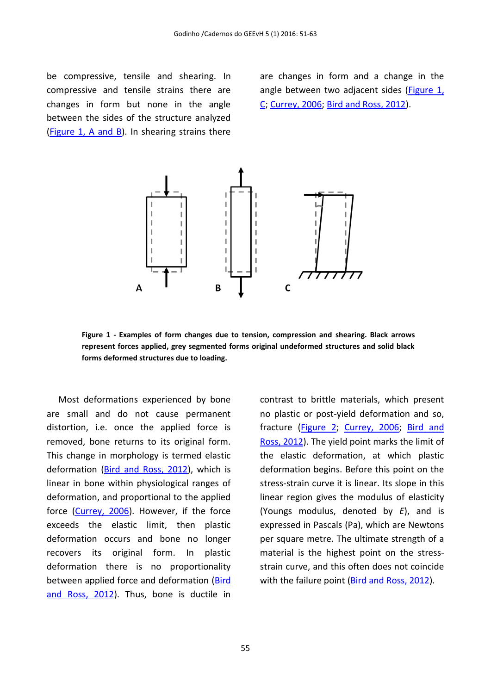be compressive, tensile and shearing. In compressive and tensile strains there are changes in form but none in the angle between the sides of the structure analyzed [\(Figure 1, A and B\)](#page-4-0). In shearing strains there

are changes in form and a change in the angle between two adjacent sides (Figure 1, [C;](#page-4-0) [Currey, 2006;](#page-10-1) [Bird and Ross, 2012\)](#page-10-14).



<span id="page-4-0"></span>**Figure 1 - Examples of form changes due to tension, compression and shearing. Black arrows represent forces applied, grey segmented forms original undeformed structures and solid black forms deformed structures due to loading.**

Most deformations experienced by bone are small and do not cause permanent distortion, i.e. once the applied force is removed, bone returns to its original form. This change in morphology is termed elastic deformation [\(Bird and Ross, 2012\)](#page-10-14), which is linear in bone within physiological ranges of deformation, and proportional to the applied force [\(Currey, 2006\)](#page-10-1). However, if the force exceeds the elastic limit, then plastic deformation occurs and bone no longer recovers its original form. In plastic deformation there is no proportionality between applied force and deformation [\(Bird](#page-10-14)  [and Ross, 2012\)](#page-10-14). Thus, bone is ductile in contrast to brittle materials, which present no plastic or post-yield deformation and so, fracture [\(Figure 2;](#page-5-0) [Currey, 2006;](#page-10-1) [Bird and](#page-10-14)  [Ross, 2012\)](#page-10-14). The yield point marks the limit of the elastic deformation, at which plastic deformation begins. Before this point on the stress-strain curve it is linear. Its slope in this linear region gives the modulus of elasticity (Youngs modulus, denoted by *E*), and is expressed in Pascals (Pa), which are Newtons per square metre. The ultimate strength of a material is the highest point on the stressstrain curve, and this often does not coincide with the failure point [\(Bird and Ross, 2012\)](#page-10-14).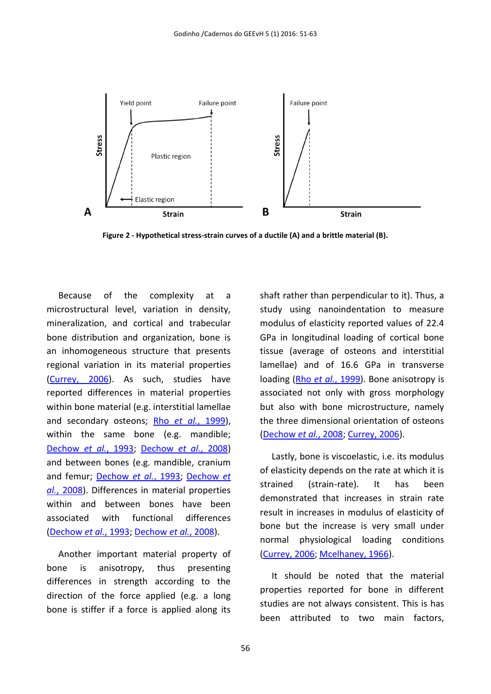

<span id="page-5-0"></span>**Figure 2 - Hypothetical stress-strain curves of a ductile (A) and a brittle material (B).**

Because of the complexity at a microstructural level, variation in density, mineralization, and cortical and trabecular bone distribution and organization, bone is an inhomogeneous structure that presents regional variation in its material properties [\(Currey, 2006\)](#page-10-1). As such, studies have reported differences in material properties within bone material (e.g. interstitial lamellae and secondary osteons; Rho *et al.*[, 1999\)](#page-11-10), within the same bone (e.g. mandible; [Dechow](#page-10-15) *et al.*, 1993; [Dechow](#page-10-10) *et al.*, 2008) and between bones (e.g. mandible, cranium and femur; [Dechow](#page-10-15) *et al.*, 1993; [Dechow](#page-10-10) *et al.*[, 2008\)](#page-10-10). Differences in material properties within and between bones have been associated with functional differences [\(Dechow](#page-10-15) *et al.*, 1993; [Dechow](#page-10-10) *et al.*, 2008).

Another important material property of bone is anisotropy, thus presenting differences in strength according to the direction of the force applied (e.g. a long bone is stiffer if a force is applied along its

shaft rather than perpendicular to it). Thus, a study using nanoindentation to measure modulus of elasticity reported values of 22.4 GPa in longitudinal loading of cortical bone tissue (average of osteons and interstitial lamellae) and of 16.6 GPa in transverse loading (Rho *et al.*[, 1999\)](#page-11-10). Bone anisotropy is associated not only with gross morphology but also with bone microstructure, namely the three dimensional orientation of osteons [\(Dechow](#page-10-10) *et al.*, 2008[; Currey, 2006\)](#page-10-1).

Lastly, bone is viscoelastic, i.e. its modulus of elasticity depends on the rate at which it is strained (strain-rate). It has been demonstrated that increases in strain rate result in increases in modulus of elasticity of bone but the increase is very small under normal physiological loading conditions [\(Currey, 2006;](#page-10-1) [Mcelhaney, 1966\)](#page-11-11).

It should be noted that the material properties reported for bone in different studies are not always consistent. This is has been attributed to two main factors,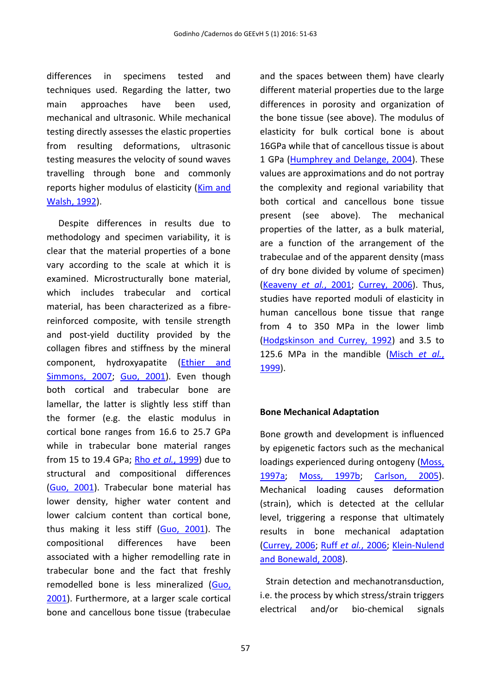differences in specimens tested and techniques used. Regarding the latter, two main approaches have been used, mechanical and ultrasonic. While mechanical testing directly assesses the elastic properties from resulting deformations, ultrasonic testing measures the velocity of sound waves travelling through bone and commonly reports higher modulus of elasticity [\(Kim and](#page-11-12)  [Walsh, 1992\)](#page-11-12).

Despite differences in results due to methodology and specimen variability, it is clear that the material properties of a bone vary according to the scale at which it is examined. Microstructurally bone material, which includes trabecular and cortical material, has been characterized as a fibrereinforced composite, with tensile strength and post-yield ductility provided by the collagen fibres and stiffness by the mineral component, hydroxyapatite [\(Ethier and](#page-10-2)  [Simmons, 2007;](#page-10-2) [Guo, 2001\)](#page-10-11). Even though both cortical and trabecular bone are lamellar, the latter is slightly less stiff than the former (e.g. the elastic modulus in cortical bone ranges from 16.6 to 25.7 GPa while in trabecular bone material ranges from 15 to 19.4 GPa; Rho *et al.*[, 1999\)](#page-11-10) due to structural and compositional differences [\(Guo, 2001\)](#page-10-11). Trabecular bone material has lower density, higher water content and lower calcium content than cortical bone, thus making it less stiff [\(Guo, 2001\)](#page-10-11). The compositional differences have been associated with a higher remodelling rate in trabecular bone and the fact that freshly remodelled bone is less mineralized [\(Guo,](#page-10-11)  [2001\)](#page-10-11). Furthermore, at a larger scale cortical bone and cancellous bone tissue (trabeculae

and the spaces between them) have clearly different material properties due to the large differences in porosity and organization of the bone tissue (see above). The modulus of elasticity for bulk cortical bone is about 16GPa while that of cancellous tissue is about 1 GPa [\(Humphrey and Delange, 2004\)](#page-10-13). These values are approximations and do not portray the complexity and regional variability that both cortical and cancellous bone tissue present (see above). The mechanical properties of the latter, as a bulk material, are a function of the arrangement of the trabeculae and of the apparent density (mass of dry bone divided by volume of specimen) [\(Keaveny](#page-11-9) *et al.*, 2001; [Currey, 2006\)](#page-10-1). Thus, studies have reported moduli of elasticity in human cancellous bone tissue that range from 4 to 350 MPa in the lower limb [\(Hodgskinson and Currey, 1992\)](#page-10-16) and 3.5 to 125.6 MPa in the mandible [\(Misch](#page-11-13) *et al.*, [1999\)](#page-11-13).

# **Bone Mechanical Adaptation**

Bone growth and development is influenced by epigenetic factors such as the mechanical loadings experienced during ontogeny [\(Moss,](#page-11-14)  [1997a;](#page-11-14) [Moss, 1997b;](#page-11-15) [Carlson, 2005\)](#page-10-17). Mechanical loading causes deformation (strain), which is detected at the cellular level, triggering a response that ultimately results in bone mechanical adaptation [\(Currey, 2006;](#page-10-1) Ruff *et al.*[, 2006;](#page-11-16) [Klein-Nulend](#page-11-17)  [and Bonewald, 2008\)](#page-11-17).

Strain detection and mechanotransduction, i.e. the process by which stress/strain triggers electrical and/or bio-chemical signals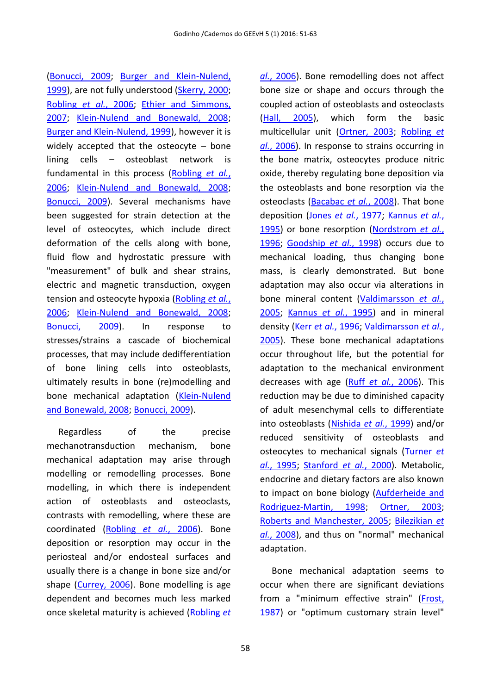[\(Bonucci, 2009;](#page-10-18) [Burger and Klein-Nulend,](#page-10-19)  [1999\)](#page-10-19), are not fully understood [\(Skerry, 2000;](#page-12-8) [Robling](#page-11-18) *et al.*, 2006; [Ethier and Simmons,](#page-10-2)  [2007;](#page-10-2) [Klein-Nulend and Bonewald, 2008;](#page-11-17) [Burger and Klein-Nulend, 1999\)](#page-10-19), however it is widely accepted that the osteocyte – bone lining cells – osteoblast network is fundamental in this process [\(Robling](#page-11-18) *et al.*, [2006;](#page-11-18) [Klein-Nulend and Bonewald, 2008;](#page-11-17) [Bonucci, 2009\)](#page-10-18). Several mechanisms have been suggested for strain detection at the level of osteocytes, which include direct deformation of the cells along with bone, fluid flow and hydrostatic pressure with "measurement" of bulk and shear strains, electric and magnetic transduction, oxygen tension and osteocyte hypoxia [\(Robling](#page-11-18) *et al.*, [2006;](#page-11-18) [Klein-Nulend and Bonewald, 2008;](#page-11-17) [Bonucci, 2009\)](#page-10-18). In response to stresses/strains a cascade of biochemical processes, that may include dedifferentiation of bone lining cells into osteoblasts, ultimately results in bone (re)modelling and bone mechanical adaptation [\(Klein-Nulend](#page-11-17)  [and Bonewald, 2008;](#page-11-17) [Bonucci, 2009\)](#page-10-18).

Regardless of the precise mechanotransduction mechanism, bone mechanical adaptation may arise through modelling or remodelling processes. Bone modelling, in which there is independent action of osteoblasts and osteoclasts, contrasts with remodelling, where these are coordinated [\(Robling](#page-11-18) *et al.*, 2006). Bone deposition or resorption may occur in the periosteal and/or endosteal surfaces and usually there is a change in bone size and/or shape [\(Currey, 2006\)](#page-10-1). Bone modelling is age dependent and becomes much less marked once skeletal maturity is achieved [\(Robling](#page-11-18) *et* 

*al.*[, 2006\)](#page-11-18). Bone remodelling does not affect bone size or shape and occurs through the coupled action of osteoblasts and osteoclasts [\(Hall, 2005\)](#page-10-20), which form the basic multicellular unit [\(Ortner, 2003;](#page-11-19) [Robling](#page-11-18) *et al.*[, 2006\)](#page-11-18). In response to strains occurring in the bone matrix, osteocytes produce nitric oxide, thereby regulating bone deposition via the osteoblasts and bone resorption via the osteoclasts [\(Bacabac](#page-9-0) *et al.*, 2008). That bone deposition (Jones *et al.*[, 1977;](#page-10-21) [Kannus](#page-11-20) *et al.*, [1995\)](#page-11-20) or bone resorption [\(Nordstrom](#page-11-21) *et al.*, [1996;](#page-11-21) [Goodship](#page-10-22) *et al.*, 1998) occurs due to mechanical loading, thus changing bone mass, is clearly demonstrated. But bone adaptation may also occur via alterations in bone mineral content [\(Valdimarsson](#page-12-9) *et al.*, [2005;](#page-12-9) [Kannus](#page-11-20) *et al.*, 1995) and in mineral density (Kerr *et al.*[, 1996;](#page-11-22) [Valdimarsson](#page-12-9) *et al.*, [2005\)](#page-12-9). These bone mechanical adaptations occur throughout life, but the potential for adaptation to the mechanical environment decreases with age (Ruff *et al.*[, 2006\)](#page-11-16). This reduction may be due to diminished capacity of adult mesenchymal cells to differentiate into osteoblasts [\(Nishida](#page-11-23) *et al.*, 1999) and/or reduced sensitivity of osteoblasts and osteocytes to mechanical signals [\(Turner](#page-12-10) *et al.*[, 1995;](#page-12-10) [Stanford](#page-12-11) *et al.*, 2000). Metabolic, endocrine and dietary factors are also known to impact on bone biology [\(Aufderheide and](#page-9-1)  [Rodriguez-Martin, 1998;](#page-9-1) [Ortner, 2003;](#page-11-19) [Roberts and Manchester, 2005;](#page-11-24) [Bilezikian](#page-10-23) *et al.*[, 2008\)](#page-10-23), and thus on "normal" mechanical adaptation.

Bone mechanical adaptation seems to occur when there are significant deviations from a "minimum effective strain" [\(Frost,](#page-10-24)  [1987\)](#page-10-24) or "optimum customary strain level"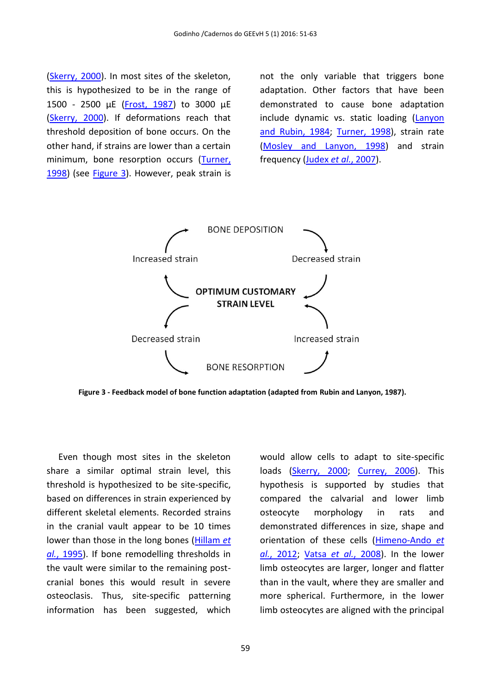[\(Skerry, 2000\)](#page-12-8). In most sites of the skeleton, this is hypothesized to be in the range of 1500 - 2500 µE [\(Frost, 1987\)](#page-10-24) to 3000 µE [\(Skerry, 2000\)](#page-12-8). If deformations reach that threshold deposition of bone occurs. On the other hand, if strains are lower than a certain minimum, bone resorption occurs [\(Turner,](#page-12-12)  [1998\)](#page-12-12) (see [Figure 3\)](#page-8-0). However, peak strain is not the only variable that triggers bone adaptation. Other factors that have been demonstrated to cause bone adaptation include dynamic vs. static loading [\(Lanyon](#page-11-25)  [and Rubin, 1984;](#page-11-25) [Turner, 1998\)](#page-12-12), strain rate [\(Mosley and Lanyon, 1998\)](#page-11-26) and strain frequency (Judex *et al.*[, 2007\)](#page-10-25).



<span id="page-8-0"></span>**Figure 3 - Feedback model of bone function adaptation (adapted from Rubin and Lanyon, 1987).**

Even though most sites in the skeleton share a similar optimal strain level, this threshold is hypothesized to be site-specific, based on differences in strain experienced by different skeletal elements. Recorded strains in the cranial vault appear to be 10 times lower than those in the long bones [\(Hillam](#page-10-26) *et al.*[, 1995\)](#page-10-26). If bone remodelling thresholds in the vault were similar to the remaining postcranial bones this would result in severe osteoclasis. Thus, site-specific patterning information has been suggested, which

would allow cells to adapt to site-specific loads [\(Skerry, 2000;](#page-12-8) [Currey, 2006\)](#page-10-1). This hypothesis is supported by studies that compared the calvarial and lower limb osteocyte morphology in rats and demonstrated differences in size, shape and orientation of these cells [\(Himeno-Ando](#page-10-27) *et al.*[, 2012;](#page-10-27) Vatsa *et al.*[, 2008\)](#page-12-13). In the lower limb osteocytes are larger, longer and flatter than in the vault, where they are smaller and more spherical. Furthermore, in the lower limb osteocytes are aligned with the principal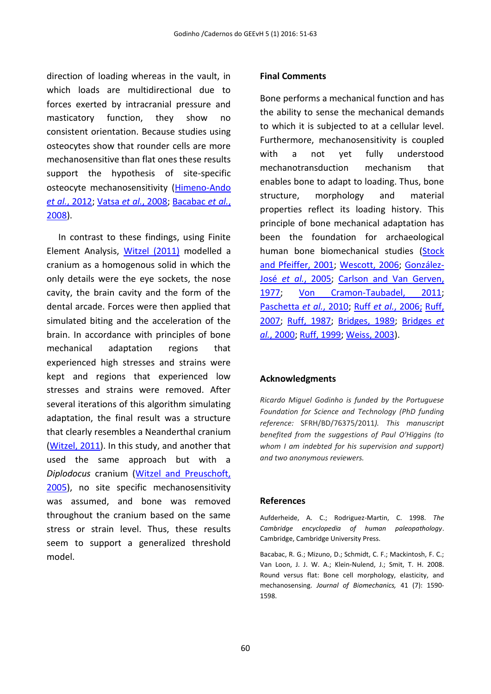direction of loading whereas in the vault, in which loads are multidirectional due to forces exerted by intracranial pressure and masticatory function, they show no consistent orientation. Because studies using osteocytes show that rounder cells are more mechanosensitive than flat ones these results support the hypothesis of site-specific osteocyte mechanosensitivity [\(Himeno-Ando](#page-10-27) *et al.*[, 2012;](#page-10-27) Vatsa *et al.*[, 2008;](#page-12-13) [Bacabac](#page-9-0) *et al.*, [2008\)](#page-9-0).

In contrast to these findings, using Finite Element Analysis, [Witzel \(2011\)](#page-12-14) modelled a cranium as a homogenous solid in which the only details were the eye sockets, the nose cavity, the brain cavity and the form of the dental arcade. Forces were then applied that simulated biting and the acceleration of the brain. In accordance with principles of bone mechanical adaptation regions that experienced high stresses and strains were kept and regions that experienced low stresses and strains were removed. After several iterations of this algorithm simulating adaptation, the final result was a structure that clearly resembles a Neanderthal cranium [\(Witzel, 2011\)](#page-12-14). In this study, and another that used the same approach but with a *Diplodocus* cranium [\(Witzel and Preuschoft,](#page-12-15)  [2005\)](#page-12-15), no site specific mechanosensitivity was assumed, and bone was removed throughout the cranium based on the same stress or strain level. Thus, these results seem to support a generalized threshold model.

#### **Final Comments**

Bone performs a mechanical function and has the ability to sense the mechanical demands to which it is subjected to at a cellular level. Furthermore, mechanosensitivity is coupled with a not yet fully understood mechanotransduction mechanism that enables bone to adapt to loading. Thus, bone structure, morphology and material properties reflect its loading history. This principle of bone mechanical adaptation has been the foundation for archaeological human bone biomechanical studies [\(Stock](#page-12-4)  [and Pfeiffer, 2001;](#page-12-4) [Wescott, 2006;](#page-12-2) [González-](#page-10-4)José *et al.*[, 2005;](#page-10-4) [Carlson and Van Gerven,](#page-10-5)  [1977;](#page-10-5) [Von Cramon-Taubadel, 2011;](#page-12-0) [Paschetta](#page-11-5) *et al.*, 2010; Ruff *et al.*[, 2006;](#page-11-16) [Ruff,](#page-12-1)  [2007;](#page-12-1) [Ruff, 1987;](#page-11-6) [Bridges, 1989;](#page-10-6) [Bridges](#page-10-7) *et al.*[, 2000;](#page-10-7) [Ruff, 1999;](#page-12-3) [Weiss, 2003\)](#page-12-5).

#### **Acknowledgments**

*Ricardo Miguel Godinho is funded by the Portuguese Foundation for Science and Technology (PhD funding reference:* SFRH/BD/76375/2011*). This manuscript benefited from the suggestions of Paul O'Higgins (to whom I am indebted for his supervision and support) and two anonymous reviewers.*

#### **References**

<span id="page-9-1"></span>Aufderheide, A. C.; Rodriguez-Martin, C. 1998. *The Cambridge encyclopedia of human paleopathology*. Cambridge, Cambridge University Press.

<span id="page-9-0"></span>Bacabac, R. G.; Mizuno, D.; Schmidt, C. F.; Mackintosh, F. C.; Van Loon, J. J. W. A.; Klein-Nulend, J.; Smit, T. H. 2008. Round versus flat: Bone cell morphology, elasticity, and mechanosensing. *Journal of Biomechanics,* 41 (7): 1590- 1598.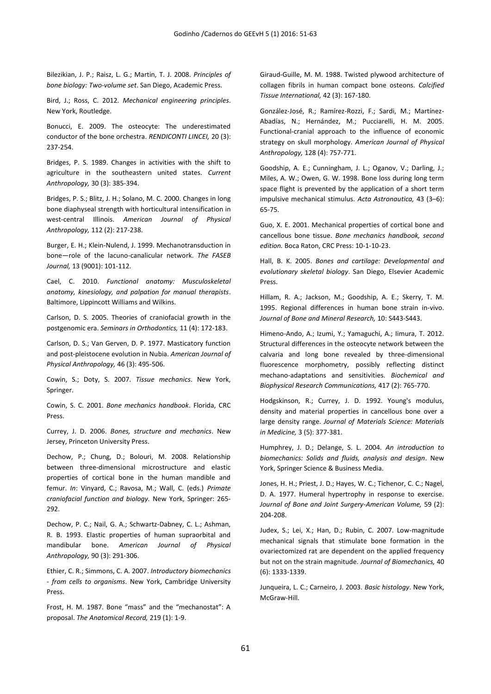<span id="page-10-23"></span>Bilezikian, J. P.; Raisz, L. G.; Martin, T. J. 2008. *Principles of bone biology: Two-volume set*. San Diego, Academic Press.

<span id="page-10-14"></span>Bird, J.; Ross, C. 2012. *Mechanical engineering principles*. New York, Routledge.

<span id="page-10-18"></span>Bonucci, E. 2009. The osteocyte: The underestimated conductor of the bone orchestra. *RENDICONTI LINCEI,* 20 (3): 237-254.

<span id="page-10-6"></span>Bridges, P. S. 1989. Changes in activities with the shift to agriculture in the southeastern united states. *Current Anthropology,* 30 (3): 385-394.

<span id="page-10-7"></span>Bridges, P. S.; Blitz, J. H.; Solano, M. C. 2000. Changes in long bone diaphyseal strength with horticultural intensification in west-central Illinois. *American Journal of Physical Anthropology,* 112 (2): 217-238.

<span id="page-10-19"></span>Burger, E. H.; Klein-Nulend, J. 1999. Mechanotransduction in bone—role of the lacuno-canalicular network. *The FASEB Journal,* 13 (9001): 101-112.

<span id="page-10-0"></span>Cael, C. 2010. *Functional anatomy: Musculoskeletal anatomy, kinesiology, and palpation for manual therapists*. Baltimore, Lippincott Williams and Wilkins.

<span id="page-10-17"></span>Carlson, D. S. 2005. Theories of craniofacial growth in the postgenomic era. *Seminars in Orthodontics,* 11 (4): 172-183.

<span id="page-10-5"></span>Carlson, D. S.; Van Gerven, D. P. 1977. Masticatory function and post-pleistocene evolution in Nubia. *American Journal of Physical Anthropology,* 46 (3): 495-506.

<span id="page-10-3"></span>Cowin, S.; Doty, S. 2007. *Tissue mechanics*. New York, Springer.

<span id="page-10-12"></span>Cowin, S. C. 2001. *Bone mechanics handbook*. Florida, CRC Press.

<span id="page-10-1"></span>Currey, J. D. 2006. *Bones, structure and mechanics*. New Jersey, Princeton University Press.

<span id="page-10-10"></span>Dechow, P.; Chung, D.; Bolouri, M. 2008. Relationship between three-dimensional microstructure and elastic properties of cortical bone in the human mandible and femur. *In*: Vinyard, C.; Ravosa, M.; Wall, C. (eds.) *Primate craniofacial function and biology.* New York, Springer: 265- 292.

<span id="page-10-15"></span>Dechow, P. C.; Nail, G. A.; Schwartz-Dabney, C. L.; Ashman, R. B. 1993. Elastic properties of human supraorbital and mandibular bone. *American Journal of Physical Anthropology,* 90 (3): 291-306.

<span id="page-10-2"></span>Ethier, C. R.; Simmons, C. A. 2007. *Introductory biomechanics - from cells to organisms*. New York, Cambridge University Press.

<span id="page-10-24"></span>Frost, H. M. 1987. Bone "mass" and the "mechanostat": A proposal. *The Anatomical Record,* 219 (1): 1-9.

<span id="page-10-9"></span>Giraud-Guille, M. M. 1988. Twisted plywood architecture of collagen fibrils in human compact bone osteons. *Calcified Tissue International,* 42 (3): 167-180.

<span id="page-10-4"></span>González-José, R.; Ramírez-Rozzi, F.; Sardi, M.; Martínez-Abadías, N.; Hernández, M.; Pucciarelli, H. M. 2005. Functional-cranial approach to the influence of economic strategy on skull morphology. *American Journal of Physical Anthropology,* 128 (4): 757-771.

<span id="page-10-22"></span>Goodship, A. E.; Cunningham, J. L.; Oganov, V.; Darling, J.; Miles, A. W.; Owen, G. W. 1998. Bone loss during long term space flight is prevented by the application of a short term impulsive mechanical stimulus. *Acta Astronautica,* 43 (3–6): 65-75.

<span id="page-10-11"></span>Guo, X. E. 2001. Mechanical properties of cortical bone and cancellous bone tissue. *Bone mechanics handbook, second edition.* Boca Raton, CRC Press: 10-1-10-23.

<span id="page-10-20"></span>Hall, B. K. 2005. *Bones and cartilage: Developmental and evolutionary skeletal biology*. San Diego, Elsevier Academic Press.

<span id="page-10-26"></span>Hillam, R. A.; Jackson, M.; Goodship, A. E.; Skerry, T. M. 1995. Regional differences in human bone strain in-vivo. *Journal of Bone and Mineral Research,* 10: S443-S443.

<span id="page-10-27"></span>Himeno-Ando, A.; Izumi, Y.; Yamaguchi, A.; Iimura, T. 2012. Structural differences in the osteocyte network between the calvaria and long bone revealed by three-dimensional fluorescence morphometry, possibly reflecting distinct mechano-adaptations and sensitivities. *Biochemical and Biophysical Research Communications,* 417 (2): 765-770.

<span id="page-10-16"></span>Hodgskinson, R.; Currey, J. D. 1992. Young's modulus, density and material properties in cancellous bone over a large density range. *Journal of Materials Science: Materials in Medicine,* 3 (5): 377-381.

<span id="page-10-13"></span>Humphrey, J. D.; Delange, S. L. 2004. *An introduction to biomechanics: Solids and fluids, analysis and design*. New York, Springer Science & Business Media.

<span id="page-10-21"></span>Jones, H. H.; Priest, J. D.; Hayes, W. C.; Tichenor, C. C.; Nagel, D. A. 1977. Humeral hypertrophy in response to exercise. *Journal of Bone and Joint Surgery-American Volume,* 59 (2): 204-208.

<span id="page-10-25"></span>Judex, S.; Lei, X.; Han, D.; Rubin, C. 2007. Low-magnitude mechanical signals that stimulate bone formation in the ovariectomized rat are dependent on the applied frequency but not on the strain magnitude. *Journal of Biomechanics,* 40 (6): 1333-1339.

<span id="page-10-8"></span>Junqueira, L. C.; Carneiro, J. 2003. *Basic histology*. New York, McGraw-Hill.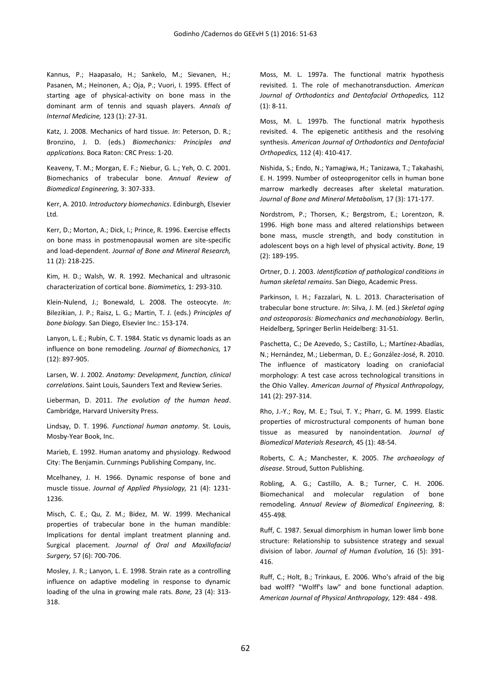<span id="page-11-20"></span>Kannus, P.; Haapasalo, H.; Sankelo, M.; Sievanen, H.; Pasanen, M.; Heinonen, A.; Oja, P.; Vuori, I. 1995. Effect of starting age of physical-activity on bone mass in the dominant arm of tennis and squash players. *Annals of Internal Medicine,* 123 (1): 27-31.

<span id="page-11-4"></span>Katz, J. 2008. Mechanics of hard tissue. *In*: Peterson, D. R.; Bronzino, J. D. (eds.) *Biomechanics: Principles and applications.* Boca Raton: CRC Press: 1-20.

<span id="page-11-9"></span>Keaveny, T. M.; Morgan, E. F.; Niebur, G. L.; Yeh, O. C. 2001. Biomechanics of trabecular bone. *Annual Review of Biomedical Engineering,* 3: 307-333.

<span id="page-11-3"></span>Kerr, A. 2010. *Introductory biomechanics*. Edinburgh, Elsevier Ltd.

<span id="page-11-22"></span>Kerr, D.; Morton, A.; Dick, I.; Prince, R. 1996. Exercise effects on bone mass in postmenopausal women are site-specific and load-dependent. *Journal of Bone and Mineral Research,* 11 (2): 218-225.

<span id="page-11-12"></span>Kim, H. D.; Walsh, W. R. 1992. Mechanical and ultrasonic characterization of cortical bone. *Biomimetics,* 1: 293-310.

<span id="page-11-17"></span>Klein-Nulend, J.; Bonewald, L. 2008. The osteocyte. *In*: Bilezikian, J. P.; Raisz, L. G.; Martin, T. J. (eds.) *Principles of bone biology.* San Diego, Elsevier Inc.: 153-174.

<span id="page-11-25"></span>Lanyon, L. E.; Rubin, C. T. 1984. Static vs dynamic loads as an influence on bone remodeling. *Journal of Biomechanics,* 17 (12): 897-905.

<span id="page-11-2"></span>Larsen, W. J. 2002. *Anatomy: Development, function, clinical correlations*. Saint Louis, Saunders Text and Review Series.

<span id="page-11-7"></span>Lieberman, D. 2011. *The evolution of the human head*. Cambridge, Harvard University Press.

<span id="page-11-1"></span>Lindsay, D. T. 1996. *Functional human anatomy*. St. Louis, Mosby-Year Book, Inc.

<span id="page-11-0"></span>Marieb, E. 1992. Human anatomy and physiology. Redwood City: The Benjamin. Curnmings Publishing Company, Inc.

<span id="page-11-11"></span>Mcelhaney, J. H. 1966. Dynamic response of bone and muscle tissue. *Journal of Applied Physiology,* 21 (4): 1231- 1236.

<span id="page-11-13"></span>Misch, C. E.; Qu, Z. M.; Bidez, M. W. 1999. Mechanical properties of trabecular bone in the human mandible: Implications for dental implant treatment planning and. Surgical placement. *Journal of Oral and Maxillofacial Surgery,* 57 (6): 700-706.

<span id="page-11-26"></span>Mosley, J. R.; Lanyon, L. E. 1998. Strain rate as a controlling influence on adaptive modeling in response to dynamic loading of the ulna in growing male rats. *Bone,* 23 (4): 313- 318.

<span id="page-11-14"></span>Moss, M. L. 1997a. The functional matrix hypothesis revisited. 1. The role of mechanotransduction. *American Journal of Orthodontics and Dentofacial Orthopedics,* 112 (1): 8-11.

<span id="page-11-15"></span>Moss, M. L. 1997b. The functional matrix hypothesis revisited. 4. The epigenetic antithesis and the resolving synthesis. *American Journal of Orthodontics and Dentofacial Orthopedics,* 112 (4): 410-417.

<span id="page-11-23"></span>Nishida, S.; Endo, N.; Yamagiwa, H.; Tanizawa, T.; Takahashi, E. H. 1999. Number of osteoprogenitor cells in human bone marrow markedly decreases after skeletal maturation. *Journal of Bone and Mineral Metabolism,* 17 (3): 171-177.

<span id="page-11-21"></span>Nordstrom, P.; Thorsen, K.; Bergstrom, E.; Lorentzon, R. 1996. High bone mass and altered relationships between bone mass, muscle strength, and body constitution in adolescent boys on a high level of physical activity. *Bone,* 19 (2): 189-195.

<span id="page-11-19"></span>Ortner, D. J. 2003. *Identification of pathological conditions in human skeletal remains*. San Diego, Academic Press.

<span id="page-11-8"></span>Parkinson, I. H.; Fazzalari, N. L. 2013. Characterisation of trabecular bone structure. *In*: Silva, J. M. (ed.) *Skeletal aging and osteoporosis: Biomechanics and mechanobiology.* Berlin, Heidelberg, Springer Berlin Heidelberg: 31-51.

<span id="page-11-5"></span>Paschetta, C.; De Azevedo, S.; Castillo, L.; Martínez-Abadías, N.; Hernández, M.; Lieberman, D. E.; González-José, R. 2010. The influence of masticatory loading on craniofacial morphology: A test case across technological transitions in the Ohio Valley. *American Journal of Physical Anthropology,* 141 (2): 297-314.

<span id="page-11-10"></span>Rho, J.-Y.; Roy, M. E.; Tsui, T. Y.; Pharr, G. M. 1999. Elastic properties of microstructural components of human bone tissue as measured by nanoindentation. *Journal of Biomedical Materials Research,* 45 (1): 48-54.

<span id="page-11-24"></span>Roberts, C. A.; Manchester, K. 2005. *The archaeology of disease*. Stroud, Sutton Publishing.

<span id="page-11-18"></span>Robling, A. G.; Castillo, A. B.; Turner, C. H. 2006. Biomechanical and molecular regulation of bone remodeling. *Annual Review of Biomedical Engineering,* 8: 455-498.

<span id="page-11-6"></span>Ruff, C. 1987. Sexual dimorphism in human lower limb bone structure: Relationship to subsistence strategy and sexual division of labor. *Journal of Human Evolution,* 16 (5): 391- 416.

<span id="page-11-16"></span>Ruff, C.; Holt, B.; Trinkaus, E. 2006. Who's afraid of the big bad wolff? "Wolff's law" and bone functional adaption. *American Journal of Physical Anthropology,* 129: 484 - 498.